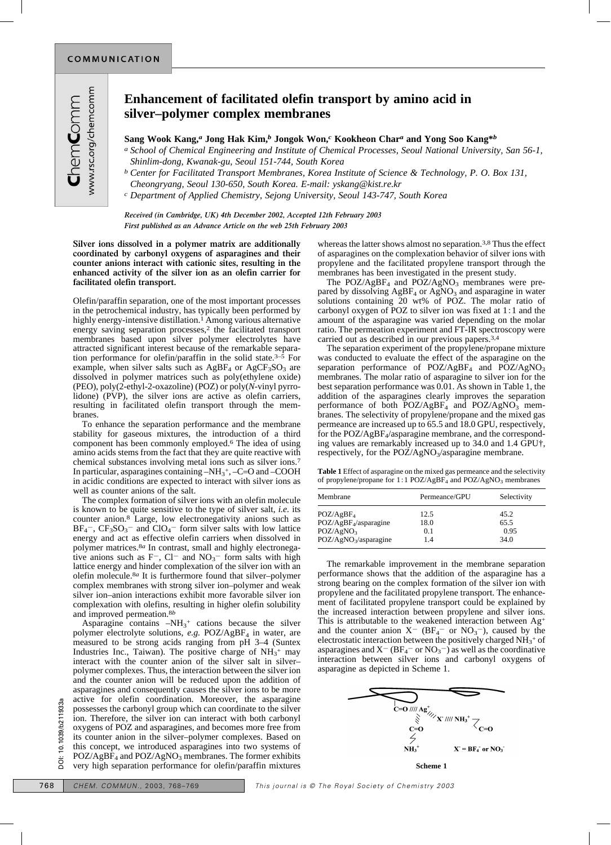## **Enhancement of facilitated olefin transport by amino acid in silver–polymer complex membranes**

## **Sang Wook Kang,***a* **Jong Hak Kim,***b* **Jongok Won,***c* **Kookheon Char***a* **and Yong Soo Kang\****b*

*a School of Chemical Engineering and Institute of Chemical Processes, Seoul National University, San 56-1, Shinlim-dong, Kwanak-gu, Seoul 151-744, South Korea*

*b Center for Facilitated Transport Membranes, Korea Institute of Science & Technology, P. O. Box 131, Cheongryang, Seoul 130-650, South Korea. E-mail: yskang@kist.re.kr*

*c Department of Applied Chemistry, Sejong University, Seoul 143-747, South Korea*

*Received (in Cambridge, UK) 4th December 2002, Accepted 12th February 2003 First published as an Advance Article on the web 25th February 2003*

**Silver ions dissolved in a polymer matrix are additionally coordinated by carbonyl oxygens of asparagines and their counter anions interact with cationic sites, resulting in the enhanced activity of the silver ion as an olefin carrier for facilitated olefin transport.**

Olefin/paraffin separation, one of the most important processes in the petrochemical industry, has typically been performed by highly energy-intensive distillation.<sup>1</sup> Among various alternative energy saving separation processes,<sup>2</sup> the facilitated transport membranes based upon silver polymer electrolytes have attracted significant interest because of the remarkable separation performance for olefin/paraffin in the solid state.<sup>3–5</sup> For example, when silver salts such as  $AgBF_4$  or  $AgCF_3SO_3$  are dissolved in polymer matrices such as poly(ethylene oxide) (PEO), poly(2-ethyl-2-oxazoline) (POZ) or poly(*N*-vinyl pyrrolidone) (PVP), the silver ions are active as olefin carriers, resulting in facilitated olefin transport through the membranes.

To enhance the separation performance and the membrane stability for gaseous mixtures, the introduction of a third component has been commonly employed.6 The idea of using amino acids stems from the fact that they are quite reactive with chemical substances involving metal ions such as silver ions.7 In particular, asparagines containing  $-NH_3^+$ , -C=O and -COOH in acidic conditions are expected to interact with silver ions as well as counter anions of the salt.

The complex formation of silver ions with an olefin molecule is known to be quite sensitive to the type of silver salt, *i.e.* its counter anion.8 Large, low electronegativity anions such as  $BF_4^-$ ,  $CF_3SO_3^-$  and  $ClO_4^-$  form silver salts with low lattice energy and act as effective olefin carriers when dissolved in polymer matrices.8*a* In contrast, small and highly electronegative anions such as  $F^-$ , Cl<sup>-</sup> and NO<sub>3</sub><sup>-</sup> form salts with high lattice energy and hinder complexation of the silver ion with an olefin molecule.8*a* It is furthermore found that silver–polymer complex membranes with strong silver ion–polymer and weak silver ion–anion interactions exhibit more favorable silver ion complexation with olefins, resulting in higher olefin solubility and improved permeation.<sup>8*b*</sup>

Asparagine contains  $-NH_3$ <sup>+</sup> cations because the silver polymer electrolyte solutions, *e.g.* POZ/AgBF<sub>4</sub> in water, are measured to be strong acids ranging from pH 3–4 (Suntex Industries Inc., Taiwan). The positive charge of  $NH<sub>3</sub><sup>+</sup>$  may interact with the counter anion of the silver salt in silver– polymer complexes. Thus, the interaction between the silver ion and the counter anion will be reduced upon the addition of asparagines and consequently causes the silver ions to be more active for olefin coordination. Moreover, the asparagine possesses the carbonyl group which can coordinate to the silver ion. Therefore, the silver ion can interact with both carbonyl oxygens of POZ and asparagines, and becomes more free from its counter anion in the silver–polymer complexes. Based on this concept, we introduced asparagines into two systems of  $POZ/AgBF<sub>4</sub>$  and  $POZ/AgNO<sub>3</sub>$  membranes. The former exhibits very high separation performance for olefin/paraffin mixtures **EXECUTE COMMUN.** CONTROVERTHE AND CONSIDER THE SURVEY CONTROVERT AND CONSIDER THE COMMUNITY of the silver of POZ and asparagines, and becomes more free from<br>
a converse of POZ and asparagines, and becomes more free from<br>

whereas the latter shows almost no separation.<sup>3,8</sup> Thus the effect of asparagines on the complexation behavior of silver ions with propylene and the facilitated propylene transport through the membranes has been investigated in the present study.

The POZ/AgBF<sub>4</sub> and POZ/AgNO<sub>3</sub> membranes were prepared by dissolving  $AgBF_4$  or  $AgNO_3$  and asparagine in water solutions containing 20 wt% of POZ. The molar ratio of carbonyl oxygen of POZ to silver ion was fixed at  $1:1$  and the amount of the asparagine was varied depending on the molar ratio. The permeation experiment and FT-IR spectroscopy were carried out as described in our previous papers.3,4

The separation experiment of the propylene/propane mixture was conducted to evaluate the effect of the asparagine on the separation performance of  $POZ/AgBF<sub>4</sub>$  and  $POZ/AgNO<sub>3</sub>$ membranes. The molar ratio of asparagine to silver ion for the best separation performance was 0.01. As shown in Table 1, the addition of the asparagines clearly improves the separation performance of both  $POZ/AgBF<sub>4</sub>$  and  $POZ/AgNO<sub>3</sub>$  membranes. The selectivity of propylene/propane and the mixed gas permeance are increased up to 65.5 and 18.0 GPU, respectively, for the POZ/AgBF<sub>4</sub>/asparagine membrane, and the corresponding values are remarkably increased up to 34.0 and 1.4 GPU†, respectively, for the POZ/AgNO<sub>3</sub>/asparagine membrane.

**Table 1** Effect of asparagine on the mixed gas permeance and the selectivity of propylene/propane for 1:1 POZ/AgBF<sub>4</sub> and POZ/AgNO<sub>3</sub> membranes

| Membrane                          | Permeance/GPU | Selectivity |
|-----------------------------------|---------------|-------------|
| POZ/AgBF <sub>4</sub>             | 12.5          | 45.2        |
| POZ/AgBF <sub>4</sub> /asparagine | 18.0          | 65.5        |
| POZ/AgNO <sub>3</sub>             | 0.1           | 0.95        |
| POZ/AgNO <sub>3</sub> /asparagine | 1.4           | 34.0        |

The remarkable improvement in the membrane separation performance shows that the addition of the asparagine has a strong bearing on the complex formation of the silver ion with propylene and the facilitated propylene transport. The enhancement of facilitated propylene transport could be explained by the increased interaction between propylene and silver ions. This is attributable to the weakened interaction between Ag+ and the counter anion  $X^-$  (BF<sub>4</sub><sup>-</sup> or NO<sub>3</sub><sup>-</sup>), caused by the electrostatic interaction between the positively charged NH<sub>3</sub>+ of asparagines and  $X^-$  (BF<sub>4</sub><sup>-</sup> or NO<sub>3</sub><sup>-</sup>) as well as the coordinative interaction between silver ions and carbonyl oxygens of asparagine as depicted in Scheme 1.